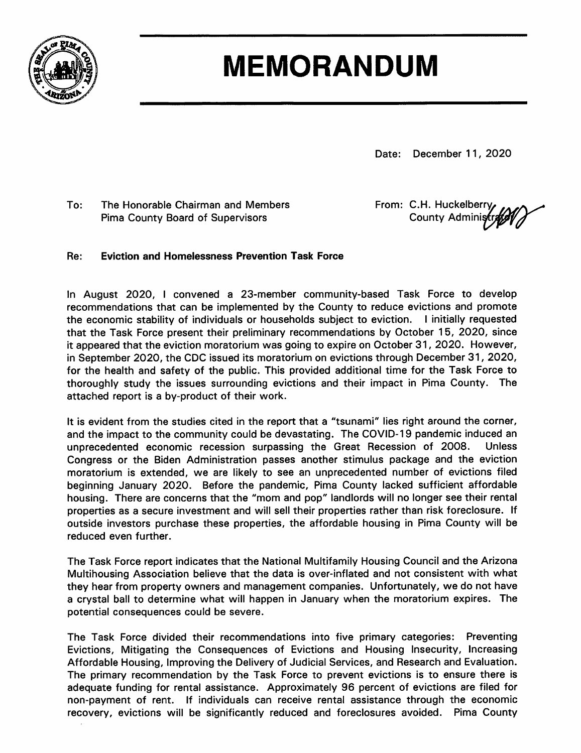

## **MEMORANDUM**

Date: December 11, 2020

The Honorable Chairman and Members To: **Pima County Board of Supervisors** 

From: C.H. Huckelberry County Administr

#### **Eviction and Homelessness Prevention Task Force** Re:

In August 2020, I convened a 23-member community-based Task Force to develop recommendations that can be implemented by the County to reduce evictions and promote the economic stability of individuals or households subject to eviction. I initially requested that the Task Force present their preliminary recommendations by October 15, 2020, since it appeared that the eviction moratorium was going to expire on October 31, 2020. However, in September 2020, the CDC issued its moratorium on evictions through December 31, 2020, for the health and safety of the public. This provided additional time for the Task Force to thoroughly study the issues surrounding evictions and their impact in Pima County. The attached report is a by-product of their work.

It is evident from the studies cited in the report that a "tsunami" lies right around the corner, and the impact to the community could be devastating. The COVID-19 pandemic induced an unprecedented economic recession surpassing the Great Recession of 2008. **Unless** Congress or the Biden Administration passes another stimulus package and the eviction moratorium is extended, we are likely to see an unprecedented number of evictions filed beginning January 2020. Before the pandemic, Pima County lacked sufficient affordable housing. There are concerns that the "mom and pop" landlords will no longer see their rental properties as a secure investment and will sell their properties rather than risk foreclosure. If outside investors purchase these properties, the affordable housing in Pima County will be reduced even further.

The Task Force report indicates that the National Multifamily Housing Council and the Arizona Multihousing Association believe that the data is over-inflated and not consistent with what they hear from property owners and management companies. Unfortunately, we do not have a crystal ball to determine what will happen in January when the moratorium expires. The potential consequences could be severe.

The Task Force divided their recommendations into five primary categories: Preventing Evictions, Mitigating the Consequences of Evictions and Housing Insecurity, Increasing Affordable Housing, Improving the Delivery of Judicial Services, and Research and Evaluation. The primary recommendation by the Task Force to prevent evictions is to ensure there is adequate funding for rental assistance. Approximately 96 percent of evictions are filed for non-payment of rent. If individuals can receive rental assistance through the economic recovery, evictions will be significantly reduced and foreclosures avoided. Pima County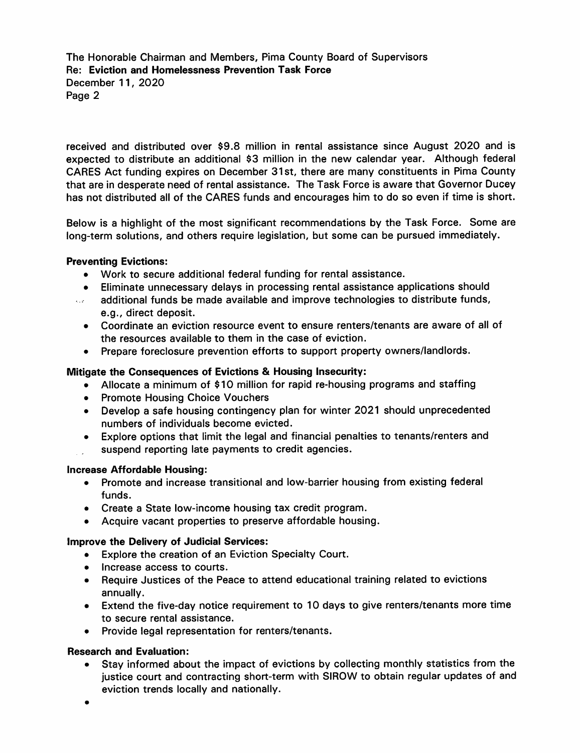The Honorable Chairman and Members, Pima County Board of Supervisors Re: Eviction and Homelessness Prevention Task Force December 11, 2020 Page 2

received and distributed over \$9.8 million in rental assistance since August 2020 and is expected to distribute an additional \$3 million in the new calendar year. Although federal CARES Act funding expires on December 31st, there are many constituents in Pima County that are in desperate need of rental assistance. The Task Force is aware that Governor Ducey has not distributed all of the CARES funds and encourages him to do so even if time is short.

Below is a highlight of the most significant recommendations by the Task Force. Some are long-term solutions, and others require legislation, but some can be pursued immediately.

#### **Preventing Evictions:**

- Work to secure additional federal funding for rental assistance.
- Eliminate unnecessary delays in processing rental assistance applications should
- additional funds be made available and improve technologies to distribute funds,  $\sqrt{2}$ e.g., direct deposit.
	- Coordinate an eviction resource event to ensure renters/tenants are aware of all of the resources available to them in the case of eviction.
	- Prepare foreclosure prevention efforts to support property owners/landlords.

#### Mitigate the Consequences of Evictions & Housing Insecurity:

- Allocate a minimum of \$10 million for rapid re-housing programs and staffing
- Promote Housing Choice Vouchers
- Develop a safe housing contingency plan for winter 2021 should unprecedented numbers of individuals become evicted.
- Explore options that limit the legal and financial penalties to tenants/renters and suspend reporting late payments to credit agencies.

#### **Increase Affordable Housing:**

- Promote and increase transitional and low-barrier housing from existing federal funds.
- Create a State low-income housing tax credit program.
- Acquire vacant properties to preserve affordable housing.

#### Improve the Delivery of Judicial Services:

- Explore the creation of an Eviction Specialty Court.
- Increase access to courts.
- Require Justices of the Peace to attend educational training related to evictions annually.
- Extend the five-day notice requirement to 10 days to give renters/tenants more time to secure rental assistance.
- Provide legal representation for renters/tenants.

#### **Research and Evaluation:**

- Stay informed about the impact of evictions by collecting monthly statistics from the justice court and contracting short-term with SIROW to obtain regular updates of and eviction trends locally and nationally.
- $\bullet$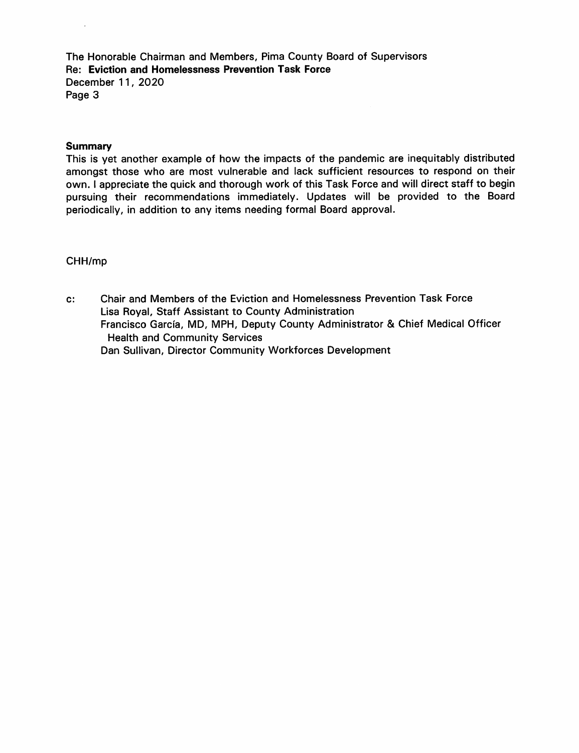The Honorable Chairman and Members, Pima County Board of Supervisors Re: Eviction and Homelessness Prevention Task Force December 11, 2020 Page 3

#### **Summary**

This is yet another example of how the impacts of the pandemic are inequitably distributed amongst those who are most vulnerable and lack sufficient resources to respond on their own. I appreciate the quick and thorough work of this Task Force and will direct staff to begin pursuing their recommendations immediately. Updates will be provided to the Board periodically, in addition to any items needing formal Board approval.

#### CHH/mp

Chair and Members of the Eviction and Homelessness Prevention Task Force  $c$ : Lisa Royal, Staff Assistant to County Administration Francisco García, MD, MPH, Deputy County Administrator & Chief Medical Officer **Health and Community Services** Dan Sullivan, Director Community Workforces Development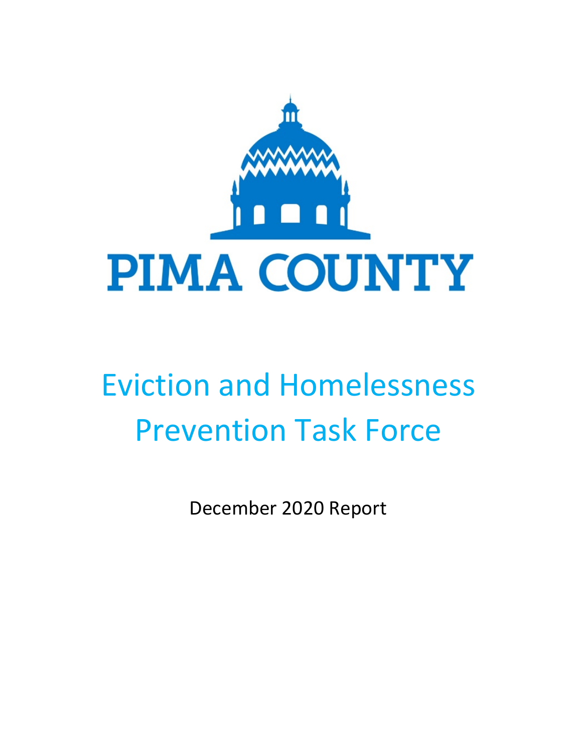

# Eviction and Homelessness Prevention Task Force

December 2020 Report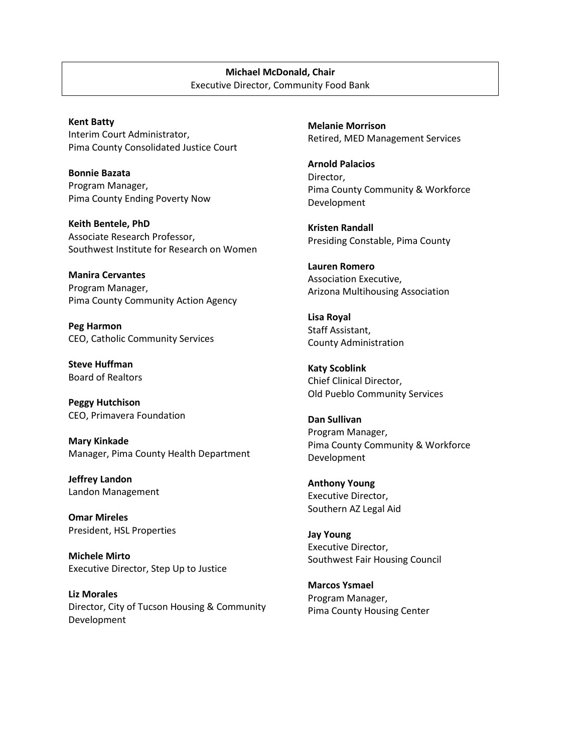#### **Michael McDonald, Chair** Executive Director, Community Food Bank

**Kent Batty** Interim Court Administrator, Pima County Consolidated Justice Court

**Bonnie Bazata** Program Manager, Pima County Ending Poverty Now

**Keith Bentele, PhD** Associate Research Professor, Southwest Institute for Research on Women

**Manira Cervantes** Program Manager, Pima County Community Action Agency

**Peg Harmon** CEO, Catholic Community Services

**Steve Huffman** Board of Realtors

**Peggy Hutchison** CEO, Primavera Foundation

**Mary Kinkade** Manager, Pima County Health Department

**Jeffrey Landon** Landon Management

**Omar Mireles** President, HSL Properties

**Michele Mirto** Executive Director, Step Up to Justice

**Liz Morales** Director, City of Tucson Housing & Community Development

**Melanie Morrison** Retired, MED Management Services

**Arnold Palacios** Director, Pima County Community & Workforce Development

**Kristen Randall** Presiding Constable, Pima County

**Lauren Romero** Association Executive, Arizona Multihousing Association

**Lisa Royal** Staff Assistant, County Administration

**Katy Scoblink** Chief Clinical Director, Old Pueblo Community Services

**Dan Sullivan** Program Manager, Pima County Community & Workforce Development

**Anthony Young** Executive Director, Southern AZ Legal Aid

**Jay Young** Executive Director, Southwest Fair Housing Council

**Marcos Ysmael** Program Manager, Pima County Housing Center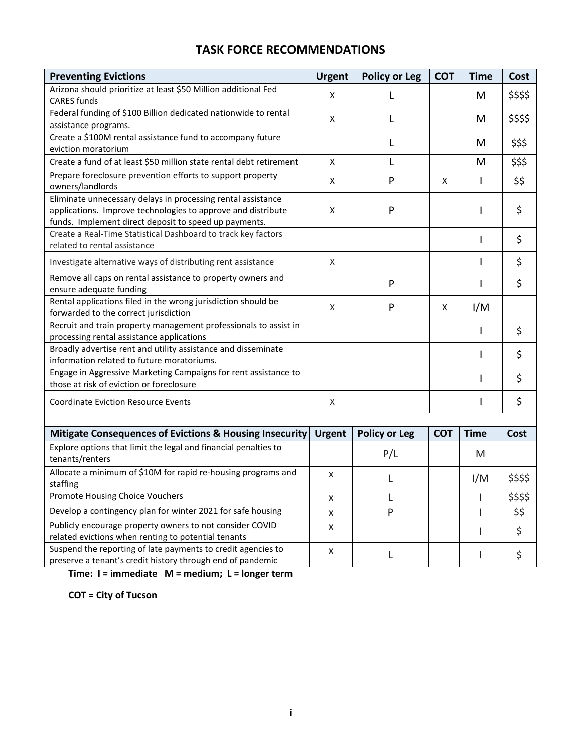## **TASK FORCE RECOMMENDATIONS**

| <b>Preventing Evictions</b>                                                                                                                                                           | <b>Urgent</b> | <b>Policy or Leg</b> | <b>COT</b> | <b>Time</b>  | Cost     |
|---------------------------------------------------------------------------------------------------------------------------------------------------------------------------------------|---------------|----------------------|------------|--------------|----------|
| Arizona should prioritize at least \$50 Million additional Fed<br><b>CARES</b> funds                                                                                                  | X             |                      |            | M            | \$\$\$\$ |
| Federal funding of \$100 Billion dedicated nationwide to rental                                                                                                                       | X             | L                    |            | M            | \$\$\$\$ |
| assistance programs.                                                                                                                                                                  |               |                      |            |              |          |
| Create a \$100M rental assistance fund to accompany future                                                                                                                            |               | L                    |            | M            | \$\$\$   |
| eviction moratorium                                                                                                                                                                   |               |                      |            |              |          |
| Create a fund of at least \$50 million state rental debt retirement                                                                                                                   | X             | L                    |            | M            | \$\$\$   |
| Prepare foreclosure prevention efforts to support property<br>owners/landlords                                                                                                        | X             | P                    | X          | $\mathbf{I}$ | \$\$     |
| Eliminate unnecessary delays in processing rental assistance<br>applications. Improve technologies to approve and distribute<br>funds. Implement direct deposit to speed up payments. | X             | P                    |            |              | \$       |
| Create a Real-Time Statistical Dashboard to track key factors<br>related to rental assistance                                                                                         |               |                      |            |              | \$       |
| Investigate alternative ways of distributing rent assistance                                                                                                                          | X             |                      |            |              | \$       |
| Remove all caps on rental assistance to property owners and<br>ensure adequate funding                                                                                                |               | P                    |            |              | \$       |
| Rental applications filed in the wrong jurisdiction should be<br>forwarded to the correct jurisdiction                                                                                | X             | P                    | X          | I/M          |          |
| Recruit and train property management professionals to assist in                                                                                                                      |               |                      |            | I.           | \$       |
| processing rental assistance applications                                                                                                                                             |               |                      |            |              |          |
| Broadly advertise rent and utility assistance and disseminate                                                                                                                         |               |                      |            |              | \$       |
| information related to future moratoriums.                                                                                                                                            |               |                      |            |              |          |
| Engage in Aggressive Marketing Campaigns for rent assistance to                                                                                                                       |               |                      |            |              | \$       |
| those at risk of eviction or foreclosure                                                                                                                                              |               |                      |            |              |          |
| <b>Coordinate Eviction Resource Events</b>                                                                                                                                            | X             |                      |            |              | \$       |
|                                                                                                                                                                                       |               |                      |            |              |          |
| <b>Mitigate Consequences of Evictions &amp; Housing Insecurity</b>                                                                                                                    | <b>Urgent</b> | <b>Policy or Leg</b> | <b>COT</b> | <b>Time</b>  | Cost     |
| Explore options that limit the legal and financial penalties to<br>tenants/renters                                                                                                    |               | P/L                  |            | M            |          |
| Allocate a minimum of \$10M for rapid re-housing programs and<br>staffing                                                                                                             | X             | L                    |            | I/M          | \$\$\$\$ |
| Promote Housing Choice Vouchers                                                                                                                                                       | X             | L                    |            |              | \$\$\$\$ |
| Develop a contingency plan for winter 2021 for safe housing                                                                                                                           | X             | P                    |            |              | \$\$     |
| Publicly encourage property owners to not consider COVID                                                                                                                              | X             |                      |            |              | \$       |
| related evictions when renting to potential tenants                                                                                                                                   |               |                      |            |              |          |
| Suspend the reporting of late payments to credit agencies to<br>preserve a tenant's credit history through end of pandemic                                                            | X             | L                    |            |              | \$       |

**Time: I = immediate M = medium; L = longer term**

**COT = City of Tucson**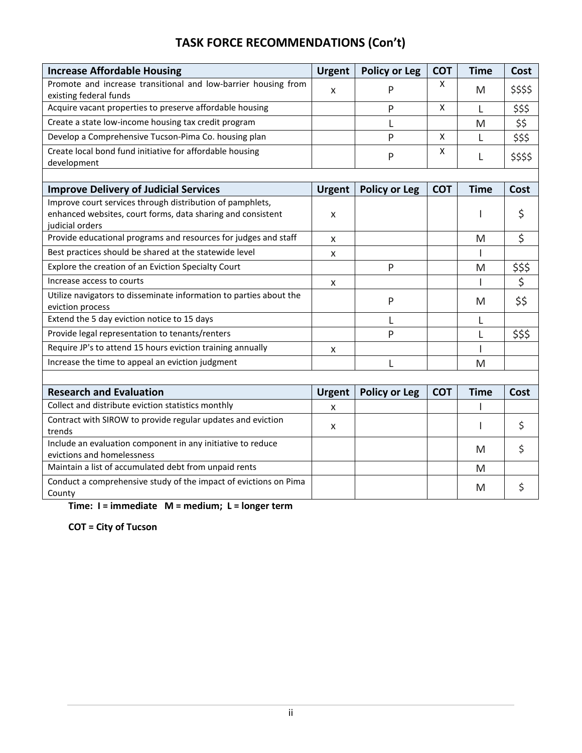## **TASK FORCE RECOMMENDATIONS (Con't)**

| <b>Increase Affordable Housing</b>                                                        | <b>Urgent</b> | <b>Policy or Leg</b> | <b>COT</b> | <b>Time</b> | Cost                    |
|-------------------------------------------------------------------------------------------|---------------|----------------------|------------|-------------|-------------------------|
| Promote and increase transitional and low-barrier housing from                            | X             | P                    | X          | M           | \$\$\$\$                |
| existing federal funds                                                                    |               |                      |            |             |                         |
| Acquire vacant properties to preserve affordable housing                                  |               | P                    | X          | L           | \$\$\$                  |
| Create a state low-income housing tax credit program                                      |               | L                    |            | M           | $\frac{55}{555}$        |
| Develop a Comprehensive Tucson-Pima Co. housing plan                                      |               | P                    | X          | L           |                         |
| Create local bond fund initiative for affordable housing                                  |               | P                    | X          | L           | \$\$\$\$                |
| development                                                                               |               |                      |            |             |                         |
|                                                                                           |               |                      |            |             |                         |
| <b>Improve Delivery of Judicial Services</b>                                              | <b>Urgent</b> | <b>Policy or Leg</b> | <b>COT</b> | <b>Time</b> | <b>Cost</b>             |
| Improve court services through distribution of pamphlets,                                 |               |                      |            |             |                         |
| enhanced websites, court forms, data sharing and consistent<br>judicial orders            | X             |                      |            | L           | \$                      |
| Provide educational programs and resources for judges and staff                           | X             |                      |            | M           | \$                      |
| Best practices should be shared at the statewide level                                    | x             |                      |            |             |                         |
| Explore the creation of an Eviction Specialty Court                                       |               | P                    |            | M           |                         |
| Increase access to courts                                                                 | X             |                      |            |             | $\frac{\frac{1}{5}}{2}$ |
| Utilize navigators to disseminate information to parties about the                        |               | P                    |            | M           | \$\$                    |
| eviction process                                                                          |               |                      |            |             |                         |
| Extend the 5 day eviction notice to 15 days                                               |               | L                    |            | L           |                         |
| Provide legal representation to tenants/renters                                           |               | P                    |            | L           | \$\$\$                  |
| Require JP's to attend 15 hours eviction training annually                                | X             |                      |            |             |                         |
| Increase the time to appeal an eviction judgment                                          |               | L                    |            | M           |                         |
|                                                                                           |               |                      |            |             |                         |
| <b>Research and Evaluation</b>                                                            | <b>Urgent</b> | <b>Policy or Leg</b> | <b>COT</b> | <b>Time</b> | Cost                    |
| Collect and distribute eviction statistics monthly                                        | X             |                      |            |             |                         |
| Contract with SIROW to provide regular updates and eviction                               | X             |                      |            |             | \$                      |
| trends                                                                                    |               |                      |            |             |                         |
| Include an evaluation component in any initiative to reduce<br>evictions and homelessness |               |                      |            | M           | \$                      |
| Maintain a list of accumulated debt from unpaid rents                                     |               |                      |            | M           |                         |
| Conduct a comprehensive study of the impact of evictions on Pima                          |               |                      |            |             |                         |
| County                                                                                    |               |                      |            | M           | \$                      |

**Time: I = immediate M = medium; L = longer term**

**COT = City of Tucson**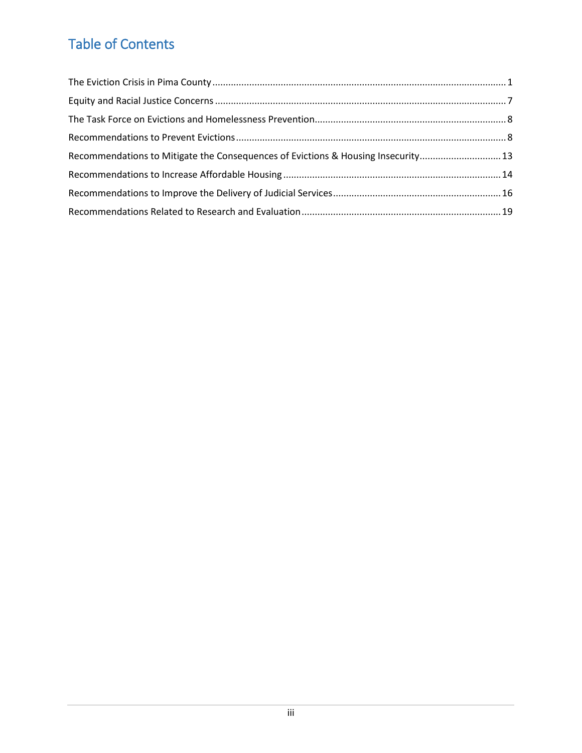## Table of Contents

| Recommendations to Mitigate the Consequences of Evictions & Housing Insecurity 13 |  |
|-----------------------------------------------------------------------------------|--|
|                                                                                   |  |
|                                                                                   |  |
|                                                                                   |  |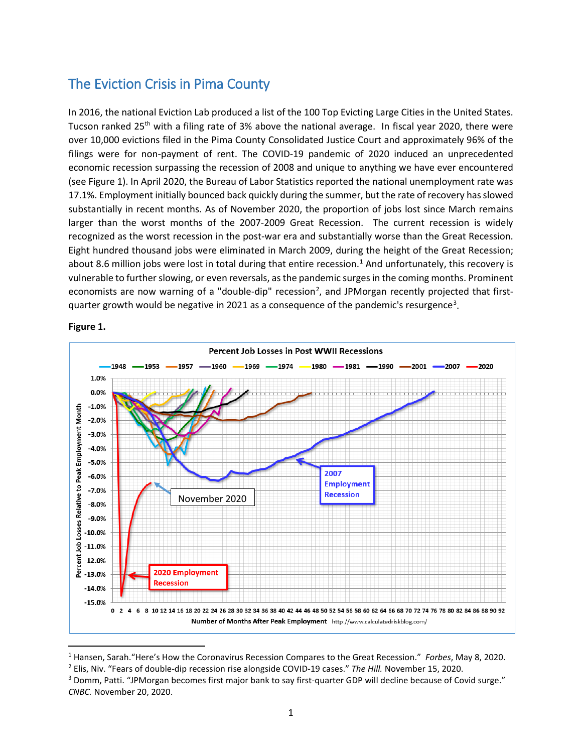## <span id="page-8-0"></span>The Eviction Crisis in Pima County

In 2016, the national Eviction Lab produced a list of the 100 Top Evicting Large Cities in the United States. Tucson ranked  $25<sup>th</sup>$  with a filing rate of 3% above the national average. In fiscal year 2020, there were over 10,000 evictions filed in the Pima County Consolidated Justice Court and approximately 96% of the filings were for non-payment of rent. The COVID-19 pandemic of 2020 induced an unprecedented economic recession surpassing the recession of 2008 and unique to anything we have ever encountered (see Figure 1). In April 2020, the Bureau of Labor Statistics reported the national unemployment rate was 17.1%. Employment initially bounced back quickly during the summer, but the rate of recovery has slowed substantially in recent months. As of November 2020, the proportion of jobs lost since March remains larger than the worst months of the 2007-2009 Great Recession. The current recession is widely recognized as the worst recession in the post-war era and substantially worse than the Great Recession. Eight hundred thousand jobs were eliminated in March 2009, during the height of the Great Recession; about 8.6 million jobs were lost in total during that entire recession.<sup>1</sup> And unfortunately, this recovery is vulnerable to further slowing, or even reversals, as the pandemic surges in the coming months. Prominent economists are now warning of a "double-dip" recession<sup>[2](#page-8-2)</sup>, and JPMorgan recently projected that first-quarter growth would be negative in 2021 as a consequence of the pandemic's resurgence<sup>[3](#page-8-3)</sup>.



#### **Figure 1.**

<span id="page-8-2"></span><span id="page-8-1"></span><sup>&</sup>lt;sup>1</sup> Hansen, Sarah. "Here's How the Coronavirus Recession Compares to the Great Recession." Forbes, May 8, 2020.<br><sup>2</sup> Elis, Niv. "Fears of double-dip recession rise alongside COVID-19 cases." The Hill. November 15, 2020.

<span id="page-8-3"></span><sup>&</sup>lt;sup>3</sup> Domm, Patti. "JPMorgan becomes first major bank to say first-quarter GDP will decline because of Covid surge." *CNBC.* November 20, 2020.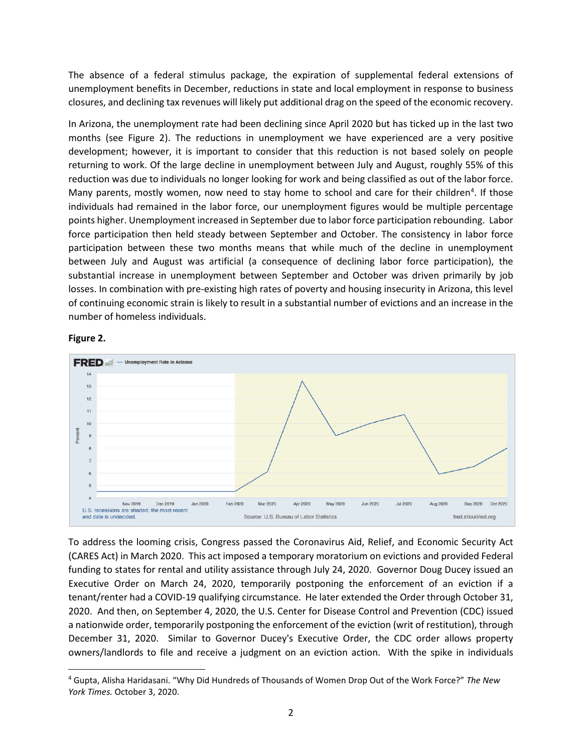The absence of a federal stimulus package, the expiration of supplemental federal extensions of unemployment benefits in December, reductions in state and local employment in response to business closures, and declining tax revenues will likely put additional drag on the speed of the economic recovery.

In Arizona, the unemployment rate had been declining since April 2020 but has ticked up in the last two months (see Figure 2). The reductions in unemployment we have experienced are a very positive development; however, it is important to consider that this reduction is not based solely on people returning to work. Of the large decline in unemployment between July and August, roughly 55% of this reduction was due to individuals no longer looking for work and being classified as out of the labor force. Many parents, mostly women, now need to stay home to school and care for their children<sup>4</sup>. If those individuals had remained in the labor force, our unemployment figures would be multiple percentage points higher. Unemployment increased in September due to labor force participation rebounding. Labor force participation then held steady between September and October. The consistency in labor force participation between these two months means that while much of the decline in unemployment between July and August was artificial (a consequence of declining labor force participation), the substantial increase in unemployment between September and October was driven primarily by job losses. In combination with pre-existing high rates of poverty and housing insecurity in Arizona, this level of continuing economic strain is likely to result in a substantial number of evictions and an increase in the number of homeless individuals.





To address the looming crisis, Congress passed the Coronavirus Aid, Relief, and Economic Security Act (CARES Act) in March 2020. This act imposed a temporary moratorium on evictions and provided Federal funding to states for rental and utility assistance through July 24, 2020. Governor Doug Ducey issued an Executive Order on March 24, 2020, temporarily postponing the enforcement of an eviction if a tenant/renter had a COVID-19 qualifying circumstance. He later extended the Order through October 31, 2020. And then, on September 4, 2020, the U.S. Center for Disease Control and Prevention (CDC) issued a nationwide order, temporarily postponing the enforcement of the eviction (writ of restitution), through December 31, 2020. Similar to Governor Ducey's Executive Order, the CDC order allows property owners/landlords to file and receive a judgment on an eviction action. With the spike in individuals

<span id="page-9-0"></span> <sup>4</sup> Gupta, Alisha Haridasani. "Why Did Hundreds of Thousands of Women Drop Out of the Work Force?" *The New York Times.* October 3, 2020.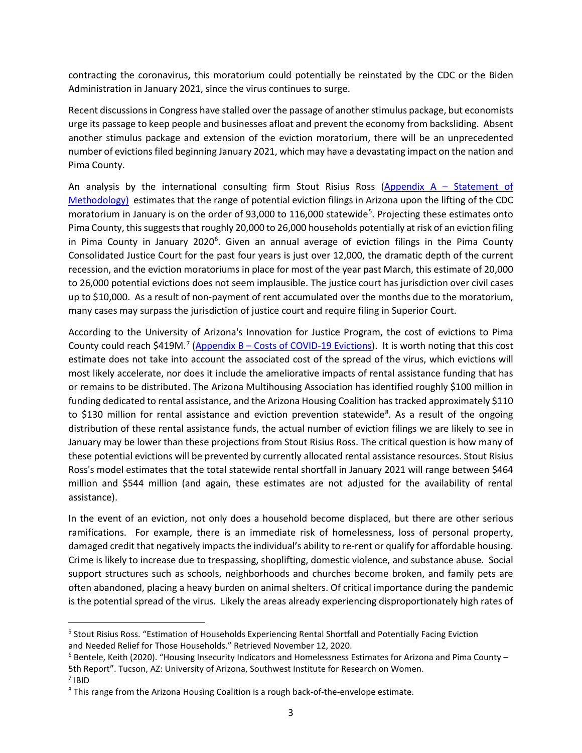contracting the coronavirus, this moratorium could potentially be reinstated by the CDC or the Biden Administration in January 2021, since the virus continues to surge.

Recent discussions in Congress have stalled over the passage of another stimulus package, but economists urge its passage to keep people and businesses afloat and prevent the economy from backsliding. Absent another stimulus package and extension of the eviction moratorium, there will be an unprecedented number of evictions filed beginning January 2021, which may have a devastating impact on the nation and Pima County.

An analysis by the international consulting firm Stout Risius Ross ( $\Delta$ ppendix  $A -$  Statement of [Methodology\)](https://webcms.pima.gov/UserFiles/Servers/Server_6/File/Government/CSET/CSET%20newsroom/2020/Eviction%20Task%20Force/Statement-Methodology-Other-Considerations-October-5-2020.pdf) estimates that the range of potential eviction filings in Arizona upon the lifting of the CDC moratorium in January is on the order of 93,000 to 116,000 statewide<sup>[5](#page-10-0)</sup>. Projecting these estimates onto Pima County, this suggests that roughly 20,000 to 26,000 households potentially at risk of an eviction filing in Pima County in January 2020<sup>[6](#page-10-1)</sup>. Given an annual average of eviction filings in the Pima County Consolidated Justice Court for the past four years is just over 12,000, the dramatic depth of the current recession, and the eviction moratoriums in place for most of the year past March, this estimate of 20,000 to 26,000 potential evictions does not seem implausible. The justice court has jurisdiction over civil cases up to \$10,000. As a result of non-payment of rent accumulated over the months due to the moratorium, many cases may surpass the jurisdiction of justice court and require filing in Superior Court.

According to the University of Arizona's Innovation for Justice Program, the cost of evictions to Pima County could reach \$419M.<sup>[7](#page-10-2)</sup> (Appendix B - [Costs of COVID-19 Evictions\)](https://webcms.pima.gov/UserFiles/Servers/Server_6/File/Government/CSET/CSET%20newsroom/2020/Eviction%20Task%20Force/costs-of-covid19-evictions%2011.19.20.pdf). It is worth noting that this cost estimate does not take into account the associated cost of the spread of the virus, which evictions will most likely accelerate, nor does it include the ameliorative impacts of rental assistance funding that has or remains to be distributed. The Arizona Multihousing Association has identified roughly \$100 million in funding dedicated to rental assistance, and the Arizona Housing Coalition has tracked approximately \$110 to \$130 million for rental assistance and eviction prevention statewide<sup>[8](#page-10-3)</sup>. As a result of the ongoing distribution of these rental assistance funds, the actual number of eviction filings we are likely to see in January may be lower than these projections from Stout Risius Ross. The critical question is how many of these potential evictions will be prevented by currently allocated rental assistance resources. Stout Risius Ross's model estimates that the total statewide rental shortfall in January 2021 will range between \$464 million and \$544 million (and again, these estimates are not adjusted for the availability of rental assistance).

In the event of an eviction, not only does a household become displaced, but there are other serious ramifications. For example, there is an immediate risk of homelessness, loss of personal property, damaged credit that negatively impacts the individual's ability to re-rent or qualify for affordable housing. Crime is likely to increase due to trespassing, shoplifting, domestic violence, and substance abuse. Social support structures such as schools, neighborhoods and churches become broken, and family pets are often abandoned, placing a heavy burden on animal shelters. Of critical importance during the pandemic is the potential spread of the virus. Likely the areas already experiencing disproportionately high rates of

<span id="page-10-0"></span> <sup>5</sup> Stout Risius Ross. "Estimation of Households Experiencing Rental Shortfall and Potentially Facing Eviction and Needed Relief for Those Households." Retrieved November 12, 2020.<br><sup>6</sup> Bentele, Keith (2020). "Housing Insecurity Indicators and Homelessness Estimates for Arizona and Pima County –

<sup>5</sup>th Report". Tucson, AZ: University of Arizona, Southwest Institute for Research on Women. <sup>7</sup> IBID

<span id="page-10-3"></span><span id="page-10-2"></span><span id="page-10-1"></span><sup>8</sup> This range from the Arizona Housing Coalition is a rough back-of-the-envelope estimate.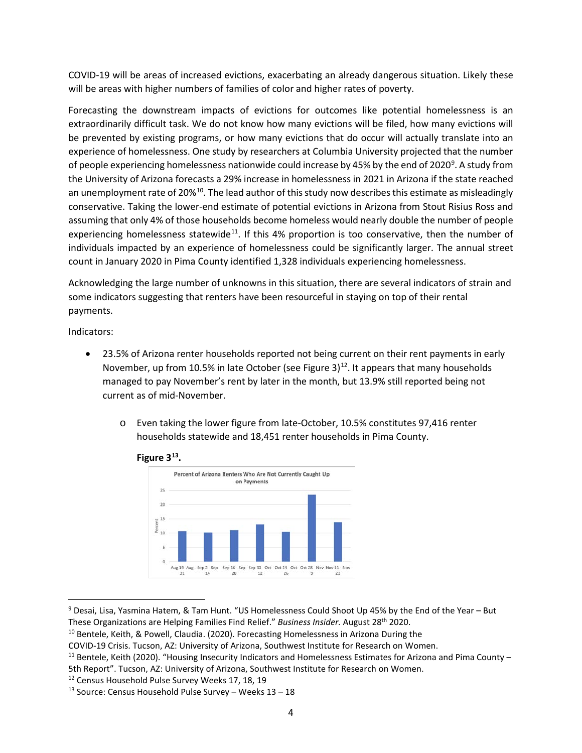COVID-19 will be areas of increased evictions, exacerbating an already dangerous situation. Likely these will be areas with higher numbers of families of color and higher rates of poverty.

Forecasting the downstream impacts of evictions for outcomes like potential homelessness is an extraordinarily difficult task. We do not know how many evictions will be filed, how many evictions will be prevented by existing programs, or how many evictions that do occur will actually translate into an experience of homelessness. One study by researchers at Columbia University projected that the number of people experiencing homelessness nationwide could increase by 45% by the end of 2020<sup>[9](#page-11-0)</sup>. A study from the University of Arizona forecasts a 29% increase in homelessness in 2021 in Arizona if the state reached an unemployment rate of 20%<sup>10</sup>. The lead author of this study now describes this estimate as misleadingly conservative. Taking the lower-end estimate of potential evictions in Arizona from Stout Risius Ross and assuming that only 4% of those households become homeless would nearly double the number of people experiencing homelessness statewide<sup>11</sup>. If this 4% proportion is too conservative, then the number of individuals impacted by an experience of homelessness could be significantly larger. The annual street count in January 2020 in Pima County identified 1,328 individuals experiencing homelessness.

Acknowledging the large number of unknowns in this situation, there are several indicators of strain and some indicators suggesting that renters have been resourceful in staying on top of their rental payments.

Indicators:

- 23.5% of Arizona renter households reported not being current on their rent payments in early November, up from 10.5% in late October (see Figure 3)<sup>12</sup>. It appears that many households managed to pay November's rent by later in the month, but 13.9% still reported being not current as of mid-November.
	- o Even taking the lower figure from late-October, 10.5% constitutes 97,416 renter households statewide and 18,451 renter households in Pima County.





<span id="page-11-0"></span> <sup>9</sup> Desai, Lisa, Yasmina Hatem, & Tam Hunt. "US Homelessness Could Shoot Up 45% by the End of the Year – But These Organizations are Helping Families Find Relief." *Business Insider.* August 28th 2020.

<span id="page-11-1"></span><sup>&</sup>lt;sup>10</sup> Bentele, Keith, & Powell, Claudia. (2020). Forecasting Homelessness in Arizona During the

COVID-19 Crisis. Tucson, AZ: University of Arizona, Southwest Institute for Research on Women.

<span id="page-11-2"></span> $11$  Bentele, Keith (2020). "Housing Insecurity Indicators and Homelessness Estimates for Arizona and Pima County -5th Report". Tucson, AZ: University of Arizona, Southwest Institute for Research on Women.

<span id="page-11-3"></span><sup>12</sup> Census Household Pulse Survey Weeks 17, 18, 19

<span id="page-11-4"></span><sup>&</sup>lt;sup>13</sup> Source: Census Household Pulse Survey – Weeks  $13 - 18$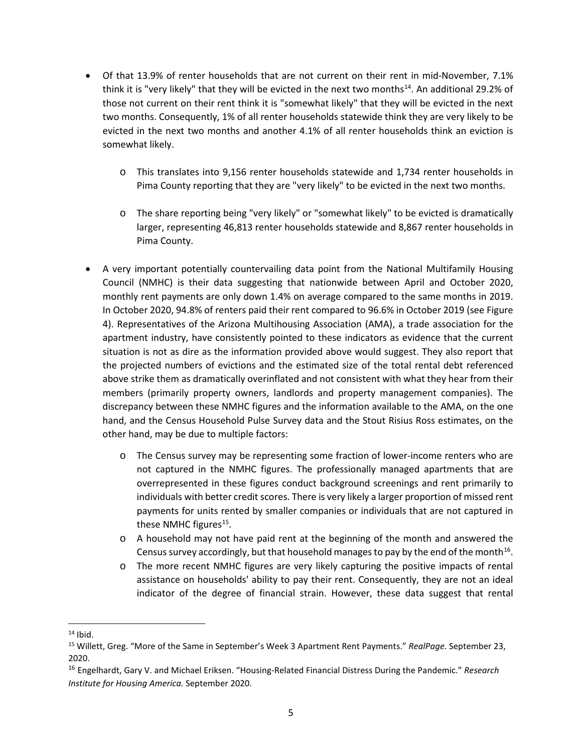- Of that 13.9% of renter households that are not current on their rent in mid-November, 7.1% think it is "very likely" that they will be evicted in the next two months<sup>14</sup>. An additional 29.2% of those not current on their rent think it is "somewhat likely" that they will be evicted in the next two months. Consequently, 1% of all renter households statewide think they are very likely to be evicted in the next two months and another 4.1% of all renter households think an eviction is somewhat likely.
	- o This translates into 9,156 renter households statewide and 1,734 renter households in Pima County reporting that they are "very likely" to be evicted in the next two months.
	- o The share reporting being "very likely" or "somewhat likely" to be evicted is dramatically larger, representing 46,813 renter households statewide and 8,867 renter households in Pima County.
- A very important potentially countervailing data point from the National Multifamily Housing Council (NMHC) is their data suggesting that nationwide between April and October 2020, monthly rent payments are only down 1.4% on average compared to the same months in 2019. In October 2020, 94.8% of renters paid their rent compared to 96.6% in October 2019 (see Figure 4). Representatives of the Arizona Multihousing Association (AMA), a trade association for the apartment industry, have consistently pointed to these indicators as evidence that the current situation is not as dire as the information provided above would suggest. They also report that the projected numbers of evictions and the estimated size of the total rental debt referenced above strike them as dramatically overinflated and not consistent with what they hear from their members (primarily property owners, landlords and property management companies). The discrepancy between these NMHC figures and the information available to the AMA, on the one hand, and the Census Household Pulse Survey data and the Stout Risius Ross estimates, on the other hand, may be due to multiple factors:
	- o The Census survey may be representing some fraction of lower-income renters who are not captured in the NMHC figures. The professionally managed apartments that are overrepresented in these figures conduct background screenings and rent primarily to individuals with better credit scores. There is very likely a larger proportion of missed rent payments for units rented by smaller companies or individuals that are not captured in these NMHC figures $^{15}$ .
	- o A household may not have paid rent at the beginning of the month and answered the Census survey accordingly, but that household manages to pay by the end of the month<sup>[16](#page-12-2)</sup>.
	- o The more recent NMHC figures are very likely capturing the positive impacts of rental assistance on households' ability to pay their rent. Consequently, they are not an ideal indicator of the degree of financial strain. However, these data suggest that rental

<span id="page-12-0"></span> $14$  Ibid.

<span id="page-12-1"></span><sup>15</sup> Willett, Greg. "More of the Same in September's Week 3 Apartment Rent Payments." *RealPage.* September 23, 2020.

<span id="page-12-2"></span><sup>16</sup> Engelhardt, Gary V. and Michael Eriksen. "Housing-Related Financial Distress During the Pandemic." *Research Institute for Housing America.* September 2020.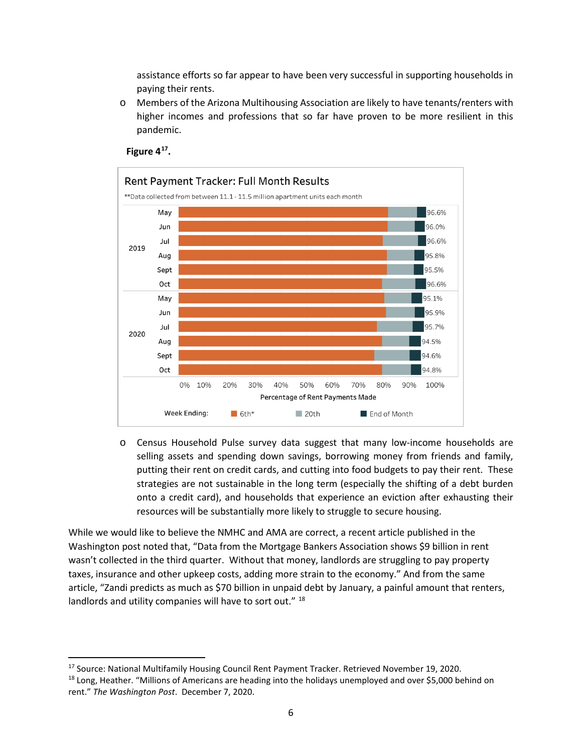assistance efforts so far appear to have been very successful in supporting households in paying their rents.

o Members of the Arizona Multihousing Association are likely to have tenants/renters with higher incomes and professions that so far have proven to be more resilient in this pandemic.



#### **Figure 4[17.](#page-13-0)**

o Census Household Pulse survey data suggest that many low-income households are selling assets and spending down savings, borrowing money from friends and family, putting their rent on credit cards, and cutting into food budgets to pay their rent. These strategies are not sustainable in the long term (especially the shifting of a debt burden onto a credit card), and households that experience an eviction after exhausting their resources will be substantially more likely to struggle to secure housing.

While we would like to believe the NMHC and AMA are correct, a recent article published in the Washington post noted that, "Data from the Mortgage Bankers Association shows \$9 billion in rent wasn't collected in the third quarter. Without that money, landlords are struggling to pay property taxes, insurance and other upkeep costs, adding more strain to the economy." And from the same article, "Zandi predicts as much as \$70 billion in unpaid debt by January, a painful amount that renters, landlords and utility companies will have to sort out." [18](#page-13-1)

<span id="page-13-0"></span><sup>&</sup>lt;sup>17</sup> Source: National Multifamily Housing Council Rent Payment Tracker. Retrieved November 19, 2020.

<span id="page-13-1"></span><sup>&</sup>lt;sup>18</sup> Long, Heather. "Millions of Americans are heading into the holidays unemployed and over \$5,000 behind on rent." *The Washington Post*. December 7, 2020.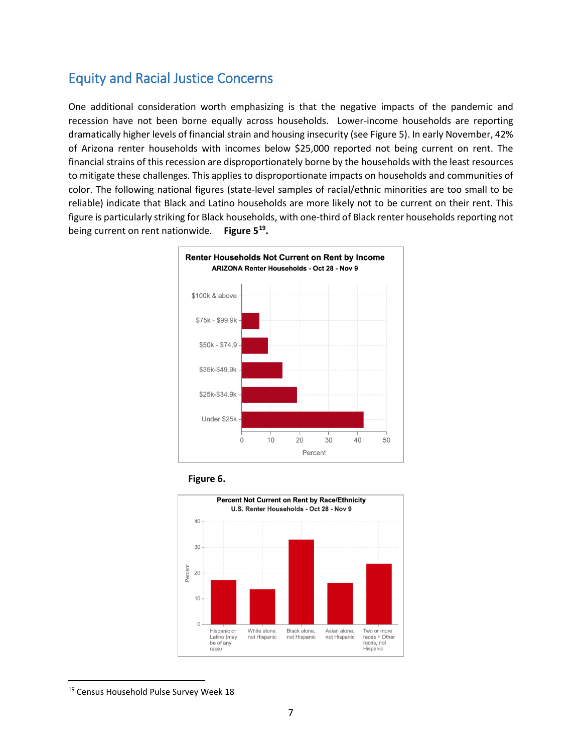## <span id="page-14-0"></span>Equity and Racial Justice Concerns

One additional consideration worth emphasizing is that the negative impacts of the pandemic and recession have not been borne equally across households. Lower-income households are reporting dramatically higher levels of financial strain and housing insecurity (see Figure 5). In early November, 42% of Arizona renter households with incomes below \$25,000 reported not being current on rent. The financial strains of this recession are disproportionately borne by the households with the least resources to mitigate these challenges. This applies to disproportionate impacts on households and communities of color. The following national figures (state-level samples of racial/ethnic minorities are too small to be reliable) indicate that Black and Latino households are more likely not to be current on their rent. This figure is particularly striking for Black households, with one-third of Black renter households reporting not being current on rent nationwide. **Figure 5[19.](#page-14-1)**







<span id="page-14-1"></span><sup>&</sup>lt;sup>19</sup> Census Household Pulse Survey Week 18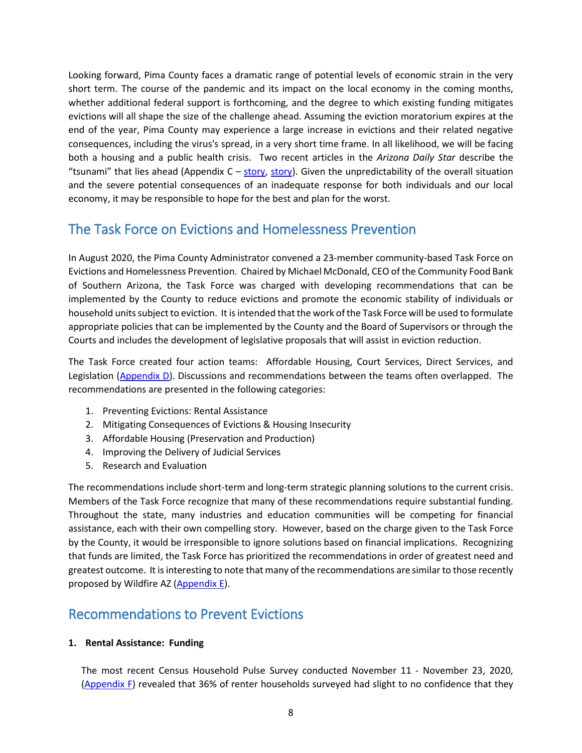Looking forward, Pima County faces a dramatic range of potential levels of economic strain in the very short term. The course of the pandemic and its impact on the local economy in the coming months, whether additional federal support is forthcoming, and the degree to which existing funding mitigates evictions will all shape the size of the challenge ahead. Assuming the eviction moratorium expires at the end of the year, Pima County may experience a large increase in evictions and their related negative consequences, including the virus's spread, in a very short time frame. In all likelihood, we will be facing both a housing and a public health crisis. Two recent articles in the *Arizona Daily Star* describe the "tsunami" that lies ahead (Appendix  $C -$  [story,](https://webcms.pima.gov/UserFiles/Servers/Server_6/File/Government/CSET/CSET%20newsroom/2020/Eviction%20Task%20Force/Constable%20news%20article.pdf) [story\)](https://webcms.pima.gov/UserFiles/Servers/Server_6/File/Government/CSET/CSET%20newsroom/2020/Eviction%20Task%20Force/Kirsten%20Engel%20news%20article.pdf). Given the unpredictability of the overall situation and the severe potential consequences of an inadequate response for both individuals and our local economy, it may be responsible to hope for the best and plan for the worst.

## <span id="page-15-0"></span>The Task Force on Evictions and Homelessness Prevention

In August 2020, the Pima County Administrator convened a 23-member community-based Task Force on Evictions and Homelessness Prevention. Chaired by Michael McDonald, CEO of the Community Food Bank of Southern Arizona, the Task Force was charged with developing recommendations that can be implemented by the County to reduce evictions and promote the economic stability of individuals or household unitssubject to eviction. It is intended that the work of the Task Force will be used to formulate appropriate policies that can be implemented by the County and the Board of Supervisors or through the Courts and includes the development of legislative proposals that will assist in eviction reduction.

The Task Force created four action teams: Affordable Housing, Court Services, Direct Services, and Legislation [\(Appendix D\)](https://webcms.pima.gov/UserFiles/Servers/Server_6/File/Government/CSET/CSET%20newsroom/2020/Eviction%20Task%20Force/Action%20Groups%20and%20Initial%20Charge.pdf). Discussions and recommendations between the teams often overlapped. The recommendations are presented in the following categories:

- 1. Preventing Evictions: Rental Assistance
- 2. Mitigating Consequences of Evictions & Housing Insecurity
- 3. Affordable Housing (Preservation and Production)
- 4. Improving the Delivery of Judicial Services
- 5. Research and Evaluation

The recommendations include short-term and long-term strategic planning solutions to the current crisis. Members of the Task Force recognize that many of these recommendations require substantial funding. Throughout the state, many industries and education communities will be competing for financial assistance, each with their own compelling story. However, based on the charge given to the Task Force by the County, it would be irresponsible to ignore solutions based on financial implications. Recognizing that funds are limited, the Task Force has prioritized the recommendations in order of greatest need and greatest outcome. It is interesting to note that many of the recommendations are similar to those recently proposed by Wildfire AZ [\(Appendix E\)](https://webcms.pima.gov/UserFiles/Servers/Server_6/File/Government/CSET/CSET%20newsroom/2020/Eviction%20Task%20Force/Vitalyst%20Eviction%20Brief%2011%2024%2020.pdf).

### <span id="page-15-1"></span>Recommendations to Prevent Evictions

#### **1. Rental Assistance: Funding**

The most recent Census Household Pulse Survey conducted November 11 - November 23, 2020, [\(Appendix F\)](https://webcms.pima.gov/UserFiles/Servers/Server_6/File/Government/CSET/CSET%20newsroom/2020/Eviction%20Task%20Force/Housing%20Insecurity%20and%20Homelessness%20Report_7_Bentele.pdf) revealed that 36% of renter households surveyed had slight to no confidence that they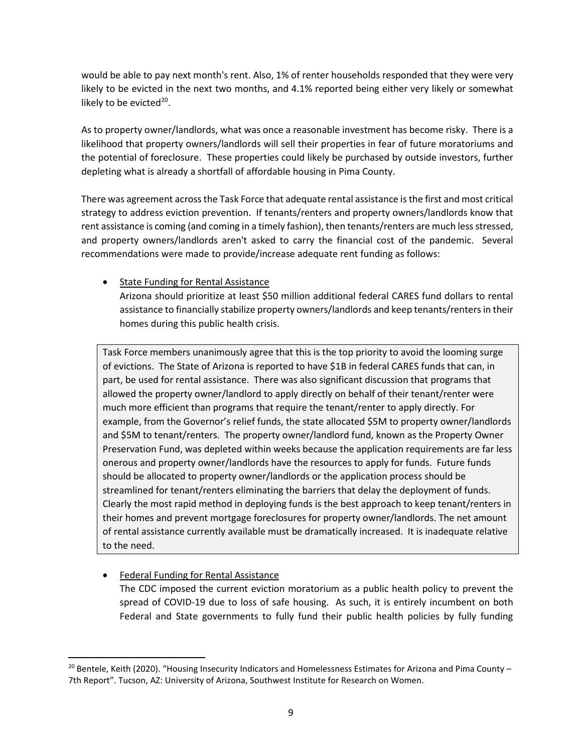would be able to pay next month's rent. Also, 1% of renter households responded that they were very likely to be evicted in the next two months, and 4.1% reported being either very likely or somewhat likely to be evicted $20$ .

As to property owner/landlords, what was once a reasonable investment has become risky. There is a likelihood that property owners/landlords will sell their properties in fear of future moratoriums and the potential of foreclosure. These properties could likely be purchased by outside investors, further depleting what is already a shortfall of affordable housing in Pima County.

There was agreement across the Task Force that adequate rental assistance is the first and most critical strategy to address eviction prevention. If tenants/renters and property owners/landlords know that rent assistance is coming (and coming in a timely fashion), then tenants/renters are much less stressed, and property owners/landlords aren't asked to carry the financial cost of the pandemic. Several recommendations were made to provide/increase adequate rent funding as follows:

#### • State Funding for Rental Assistance

Arizona should prioritize at least \$50 million additional federal CARES fund dollars to rental assistance to financially stabilize property owners/landlords and keep tenants/renters in their homes during this public health crisis.

Task Force members unanimously agree that this is the top priority to avoid the looming surge of evictions. The State of Arizona is reported to have \$1B in federal CARES funds that can, in part, be used for rental assistance. There was also significant discussion that programs that allowed the property owner/landlord to apply directly on behalf of their tenant/renter were much more efficient than programs that require the tenant/renter to apply directly. For example, from the Governor's relief funds, the state allocated \$5M to property owner/landlords and \$5M to tenant/renters. The property owner/landlord fund, known as the Property Owner Preservation Fund, was depleted within weeks because the application requirements are far less onerous and property owner/landlords have the resources to apply for funds. Future funds should be allocated to property owner/landlords or the application process should be streamlined for tenant/renters eliminating the barriers that delay the deployment of funds. Clearly the most rapid method in deploying funds is the best approach to keep tenant/renters in their homes and prevent mortgage foreclosures for property owner/landlords. The net amount of rental assistance currently available must be dramatically increased. It is inadequate relative to the need.

#### **Federal Funding for Rental Assistance**

The CDC imposed the current eviction moratorium as a public health policy to prevent the spread of COVID-19 due to loss of safe housing. As such, it is entirely incumbent on both Federal and State governments to fully fund their public health policies by fully funding

<span id="page-16-0"></span> $20$  Bentele, Keith (2020). "Housing Insecurity Indicators and Homelessness Estimates for Arizona and Pima County – 7th Report". Tucson, AZ: University of Arizona, Southwest Institute for Research on Women.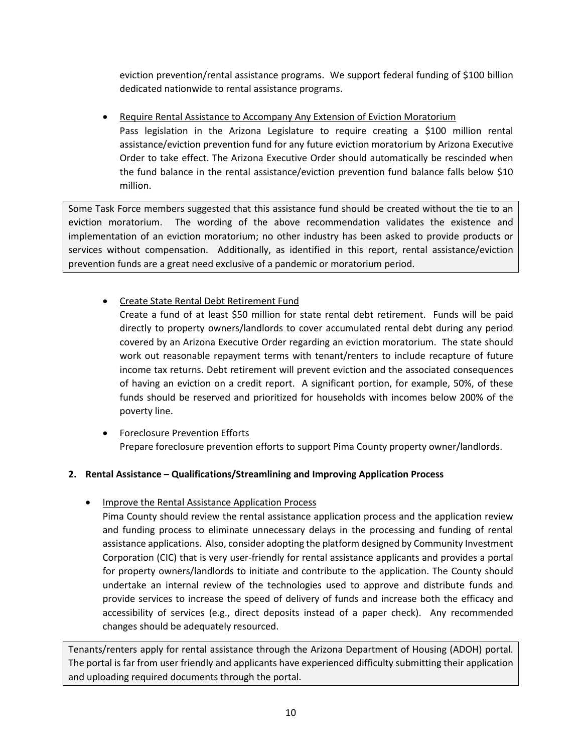eviction prevention/rental assistance programs. We support federal funding of \$100 billion dedicated nationwide to rental assistance programs.

• Require Rental Assistance to Accompany Any Extension of Eviction Moratorium Pass legislation in the Arizona Legislature to require creating a \$100 million rental assistance/eviction prevention fund for any future eviction moratorium by Arizona Executive Order to take effect. The Arizona Executive Order should automatically be rescinded when the fund balance in the rental assistance/eviction prevention fund balance falls below \$10 million.

Some Task Force members suggested that this assistance fund should be created without the tie to an eviction moratorium. The wording of the above recommendation validates the existence and implementation of an eviction moratorium; no other industry has been asked to provide products or services without compensation. Additionally, as identified in this report, rental assistance/eviction prevention funds are a great need exclusive of a pandemic or moratorium period.

• Create State Rental Debt Retirement Fund

Create a fund of at least \$50 million for state rental debt retirement. Funds will be paid directly to property owners/landlords to cover accumulated rental debt during any period covered by an Arizona Executive Order regarding an eviction moratorium. The state should work out reasonable repayment terms with tenant/renters to include recapture of future income tax returns. Debt retirement will prevent eviction and the associated consequences of having an eviction on a credit report. A significant portion, for example, 50%, of these funds should be reserved and prioritized for households with incomes below 200% of the poverty line.

• Foreclosure Prevention Efforts Prepare foreclosure prevention efforts to support Pima County property owner/landlords.

#### **2. Rental Assistance – Qualifications/Streamlining and Improving Application Process**

• Improve the Rental Assistance Application Process

Pima County should review the rental assistance application process and the application review and funding process to eliminate unnecessary delays in the processing and funding of rental assistance applications. Also, consider adopting the platform designed by Community Investment Corporation (CIC) that is very user-friendly for rental assistance applicants and provides a portal for property owners/landlords to initiate and contribute to the application. The County should undertake an internal review of the technologies used to approve and distribute funds and provide services to increase the speed of delivery of funds and increase both the efficacy and accessibility of services (e.g., direct deposits instead of a paper check). Any recommended changes should be adequately resourced.

Tenants/renters apply for rental assistance through the Arizona Department of Housing (ADOH) portal. The portal is far from user friendly and applicants have experienced difficulty submitting their application and uploading required documents through the portal.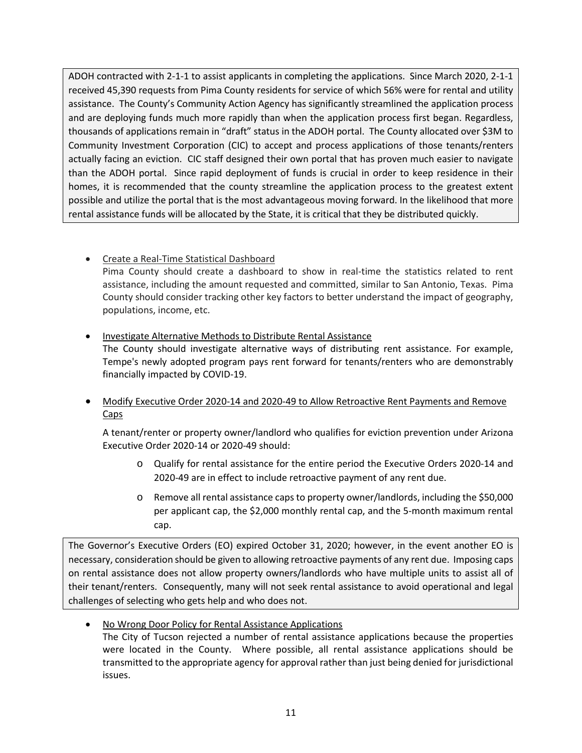ADOH contracted with 2-1-1 to assist applicants in completing the applications. Since March 2020, 2-1-1 received 45,390 requests from Pima County residents for service of which 56% were for rental and utility assistance. The County's Community Action Agency has significantly streamlined the application process and are deploying funds much more rapidly than when the application process first began. Regardless, thousands of applications remain in "draft" status in the ADOH portal. The County allocated over \$3M to Community Investment Corporation (CIC) to accept and process applications of those tenants/renters actually facing an eviction. CIC staff designed their own portal that has proven much easier to navigate than the ADOH portal. Since rapid deployment of funds is crucial in order to keep residence in their homes, it is recommended that the county streamline the application process to the greatest extent possible and utilize the portal that is the most advantageous moving forward. In the likelihood that more rental assistance funds will be allocated by the State, it is critical that they be distributed quickly.

- Create a Real-Time Statistical Dashboard Pima County should create a dashboard to show in real-time the statistics related to rent assistance, including the amount requested and committed, similar to San Antonio, Texas. Pima County should consider tracking other key factors to better understand the impact of geography, populations, income, etc.
- Investigate Alternative Methods to Distribute Rental Assistance The County should investigate alternative ways of distributing rent assistance. For example, Tempe's newly adopted program pays rent forward for tenants/renters who are demonstrably financially impacted by COVID-19.
- Modify Executive Order 2020-14 and 2020-49 to Allow Retroactive Rent Payments and Remove Caps

A tenant/renter or property owner/landlord who qualifies for eviction prevention under Arizona Executive Order 2020-14 or 2020-49 should:

- o Qualify for rental assistance for the entire period the Executive Orders 2020-14 and 2020-49 are in effect to include retroactive payment of any rent due.
- o Remove all rental assistance caps to property owner/landlords, including the \$50,000 per applicant cap, the \$2,000 monthly rental cap, and the 5-month maximum rental cap.

The Governor's Executive Orders (EO) expired October 31, 2020; however, in the event another EO is necessary, consideration should be given to allowing retroactive payments of any rent due. Imposing caps on rental assistance does not allow property owners/landlords who have multiple units to assist all of their tenant/renters. Consequently, many will not seek rental assistance to avoid operational and legal challenges of selecting who gets help and who does not.

• No Wrong Door Policy for Rental Assistance Applications

The City of Tucson rejected a number of rental assistance applications because the properties were located in the County. Where possible, all rental assistance applications should be transmitted to the appropriate agency for approval rather than just being denied for jurisdictional issues.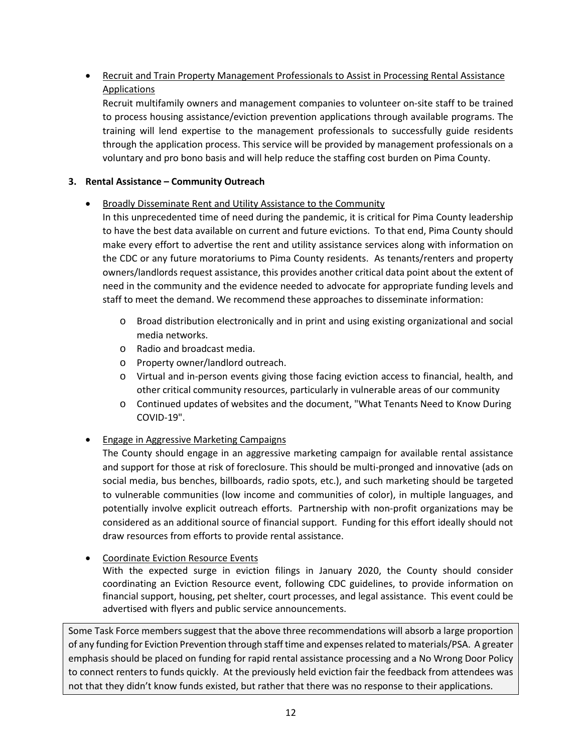### • Recruit and Train Property Management Professionals to Assist in Processing Rental Assistance **Applications**

Recruit multifamily owners and management companies to volunteer on-site staff to be trained to process housing assistance/eviction prevention applications through available programs. The training will lend expertise to the management professionals to successfully guide residents through the application process. This service will be provided by management professionals on a voluntary and pro bono basis and will help reduce the staffing cost burden on Pima County.

#### **3. Rental Assistance – Community Outreach**

#### • Broadly Disseminate Rent and Utility Assistance to the Community

In this unprecedented time of need during the pandemic, it is critical for Pima County leadership to have the best data available on current and future evictions. To that end, Pima County should make every effort to advertise the rent and utility assistance services along with information on the CDC or any future moratoriums to Pima County residents. As tenants/renters and property owners/landlords request assistance, this provides another critical data point about the extent of need in the community and the evidence needed to advocate for appropriate funding levels and staff to meet the demand. We recommend these approaches to disseminate information:

- o Broad distribution electronically and in print and using existing organizational and social media networks.
- o Radio and broadcast media.
- o Property owner/landlord outreach.
- o Virtual and in-person events giving those facing eviction access to financial, health, and other critical community resources, particularly in vulnerable areas of our community
- o Continued updates of websites and the document, "What Tenants Need to Know During COVID-19".

#### • Engage in Aggressive Marketing Campaigns

The County should engage in an aggressive marketing campaign for available rental assistance and support for those at risk of foreclosure. This should be multi-pronged and innovative (ads on social media, bus benches, billboards, radio spots, etc.), and such marketing should be targeted to vulnerable communities (low income and communities of color), in multiple languages, and potentially involve explicit outreach efforts. Partnership with non-profit organizations may be considered as an additional source of financial support. Funding for this effort ideally should not draw resources from efforts to provide rental assistance.

#### • Coordinate Eviction Resource Events

With the expected surge in eviction filings in January 2020, the County should consider coordinating an Eviction Resource event, following CDC guidelines, to provide information on financial support, housing, pet shelter, court processes, and legal assistance. This event could be advertised with flyers and public service announcements.

Some Task Force members suggest that the above three recommendations will absorb a large proportion of any funding for Eviction Prevention through staff time and expenses related to materials/PSA. A greater emphasis should be placed on funding for rapid rental assistance processing and a No Wrong Door Policy to connect renters to funds quickly. At the previously held eviction fair the feedback from attendees was not that they didn't know funds existed, but rather that there was no response to their applications.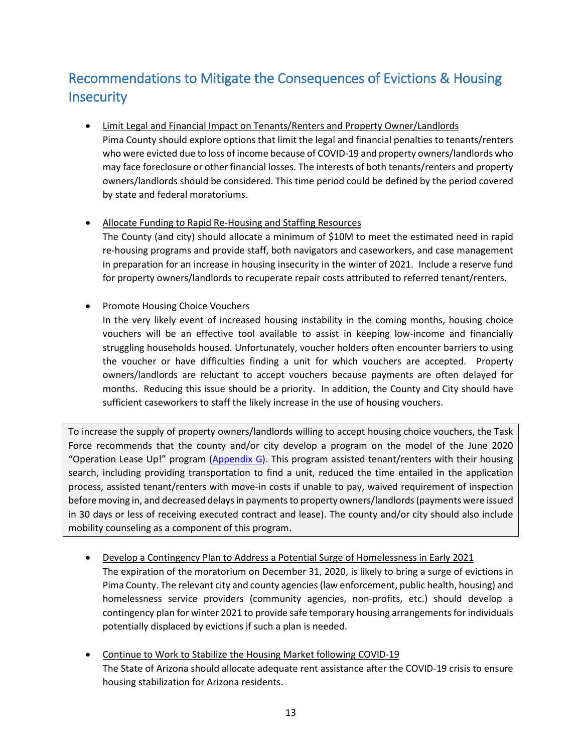## <span id="page-20-0"></span>Recommendations to Mitigate the Consequences of Evictions & Housing **Insecurity**

- Limit Legal and Financial Impact on Tenants/Renters and Property Owner/Landlords Pima County should explore options that limit the legal and financial penalties to tenants/renters who were evicted due to loss of income because of COVID-19 and property owners/landlords who may face foreclosure or other financial losses. The interests of both tenants/renters and property owners/landlords should be considered. This time period could be defined by the period covered by state and federal moratoriums.
- Allocate Funding to Rapid Re-Housing and Staffing Resources

The County (and city) should allocate a minimum of \$10M to meet the estimated need in rapid re-housing programs and provide staff, both navigators and caseworkers, and case management in preparation for an increase in housing insecurity in the winter of 2021. Include a reserve fund for property owners/landlords to recuperate repair costs attributed to referred tenant/renters.

• Promote Housing Choice Vouchers

In the very likely event of increased housing instability in the coming months, housing choice vouchers will be an effective tool available to assist in keeping low-income and financially struggling households housed. Unfortunately, voucher holders often encounter barriers to using the voucher or have difficulties finding a unit for which vouchers are accepted. Property owners/landlords are reluctant to accept vouchers because payments are often delayed for months. Reducing this issue should be a priority. In addition, the County and City should have sufficient caseworkers to staff the likely increase in the use of housing vouchers.

To increase the supply of property owners/landlords willing to accept housing choice vouchers, the Task Force recommends that the county and/or city develop a program on the model of the June 2020 "Operation Lease Up!" program [\(Appendix G\)](https://webcms.pima.gov/UserFiles/Servers/Server_6/File/Government/CSET/CSET%20newsroom/2020/Eviction%20Task%20Force/COT%20Operation%20Lease%20Up%20Campaign-.pdf). This program assisted tenant/renters with their housing search, including providing transportation to find a unit, reduced the time entailed in the application process, assisted tenant/renters with move-in costs if unable to pay, waived requirement of inspection before moving in, and decreased delays in payments to property owners/landlords (payments were issued in 30 days or less of receiving executed contract and lease). The county and/or city should also include mobility counseling as a component of this program.

- Develop a Contingency Plan to Address a Potential Surge of Homelessness in Early 2021 The expiration of the moratorium on December 31, 2020, is likely to bring a surge of evictions in Pima County. The relevant city and county agencies (law enforcement, public health, housing) and homelessness service providers (community agencies, non-profits, etc.) should develop a contingency plan for winter 2021 to provide safe temporary housing arrangements for individuals potentially displaced by evictions if such a plan is needed.
- Continue to Work to Stabilize the Housing Market following COVID-19 The State of Arizona should allocate adequate rent assistance after the COVID-19 crisis to ensure housing stabilization for Arizona residents.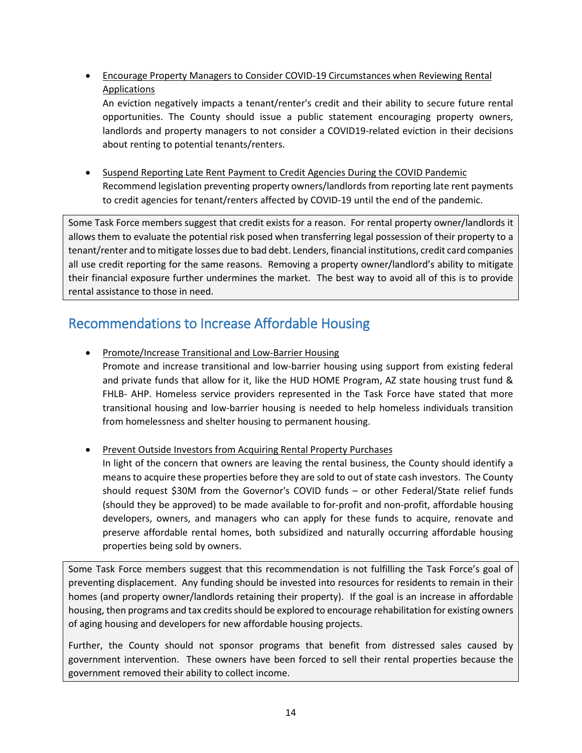• Encourage Property Managers to Consider COVID-19 Circumstances when Reviewing Rental **Applications** 

An eviction negatively impacts a tenant/renter's credit and their ability to secure future rental opportunities. The County should issue a public statement encouraging property owners, landlords and property managers to not consider a COVID19-related eviction in their decisions about renting to potential tenants/renters.

• Suspend Reporting Late Rent Payment to Credit Agencies During the COVID Pandemic Recommend legislation preventing property owners/landlords from reporting late rent payments to credit agencies for tenant/renters affected by COVID-19 until the end of the pandemic.

Some Task Force members suggest that credit exists for a reason. For rental property owner/landlords it allows them to evaluate the potential risk posed when transferring legal possession of their property to a tenant/renter and to mitigate losses due to bad debt. Lenders, financial institutions, credit card companies all use credit reporting for the same reasons. Removing a property owner/landlord's ability to mitigate their financial exposure further undermines the market. The best way to avoid all of this is to provide rental assistance to those in need.

## <span id="page-21-0"></span>Recommendations to Increase Affordable Housing

• Promote/Increase Transitional and Low-Barrier Housing Promote and increase transitional and low-barrier housing using support from existing federal and private funds that allow for it, like the HUD HOME Program, AZ state housing trust fund & FHLB- AHP. Homeless service providers represented in the Task Force have stated that more transitional housing and low-barrier housing is needed to help homeless individuals transition from homelessness and shelter housing to permanent housing.

• Prevent Outside Investors from Acquiring Rental Property Purchases

In light of the concern that owners are leaving the rental business, the County should identify a means to acquire these properties before they are sold to out of state cash investors. The County should request \$30M from the Governor's COVID funds – or other Federal/State relief funds (should they be approved) to be made available to for-profit and non-profit, affordable housing developers, owners, and managers who can apply for these funds to acquire, renovate and preserve affordable rental homes, both subsidized and naturally occurring affordable housing properties being sold by owners.

Some Task Force members suggest that this recommendation is not fulfilling the Task Force's goal of preventing displacement. Any funding should be invested into resources for residents to remain in their homes (and property owner/landlords retaining their property). If the goal is an increase in affordable housing, then programs and tax credits should be explored to encourage rehabilitation for existing owners of aging housing and developers for new affordable housing projects.

Further, the County should not sponsor programs that benefit from distressed sales caused by government intervention. These owners have been forced to sell their rental properties because the government removed their ability to collect income.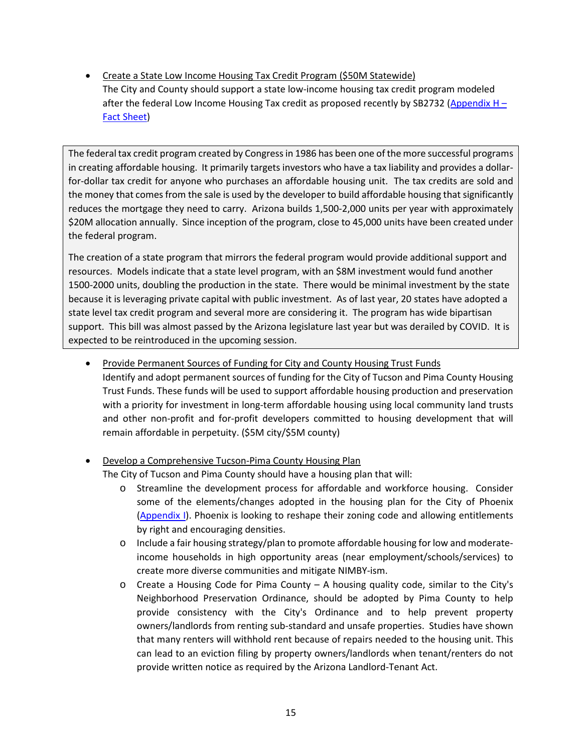• Create a State Low Income Housing Tax Credit Program (\$50M Statewide) The City and County should support a state low-income housing tax credit program modeled after the federal Low Income Housing Tax credit as proposed recently by SB2732 (Appendix  $H -$ [Fact Sheet\)](https://webcms.pima.gov/UserFiles/Servers/Server_6/File/Government/CSET/CSET%20newsroom/2020/Eviction%20Task%20Force/HB%202732%20Tax%20Credit.pdf)

The federal tax credit program created by Congress in 1986 has been one of the more successful programs in creating affordable housing. It primarily targets investors who have a tax liability and provides a dollarfor-dollar tax credit for anyone who purchases an affordable housing unit. The tax credits are sold and the money that comes from the sale is used by the developer to build affordable housing that significantly reduces the mortgage they need to carry. Arizona builds 1,500-2,000 units per year with approximately \$20M allocation annually. Since inception of the program, close to 45,000 units have been created under the federal program.

The creation of a state program that mirrors the federal program would provide additional support and resources. Models indicate that a state level program, with an \$8M investment would fund another 1500-2000 units, doubling the production in the state. There would be minimal investment by the state because it is leveraging private capital with public investment. As of last year, 20 states have adopted a state level tax credit program and several more are considering it. The program has wide bipartisan support. This bill was almost passed by the Arizona legislature last year but was derailed by COVID. It is expected to be reintroduced in the upcoming session.

- Provide Permanent Sources of Funding for City and County Housing Trust Funds Identify and adopt permanent sources of funding for the City of Tucson and Pima County Housing Trust Funds. These funds will be used to support affordable housing production and preservation with a priority for investment in long-term affordable housing using local community land trusts and other non-profit and for-profit developers committed to housing development that will remain affordable in perpetuity. (\$5M city/\$5M county)
- Develop a Comprehensive Tucson-Pima County Housing Plan The City of Tucson and Pima County should have a housing plan that will:
	- o Streamline the development process for affordable and workforce housing. Consider some of the elements/changes adopted in the housing plan for the City of Phoenix [\(Appendix I\)](https://webcms.pima.gov/UserFiles/Servers/Server_6/File/Government/CSET/CSET%20newsroom/2020/Eviction%20Task%20Force/Final_Housing_Phx_Plan.pdf). Phoenix is looking to reshape their zoning code and allowing entitlements by right and encouraging densities.
	- o Include a fair housing strategy/plan to promote affordable housing for low and moderateincome households in high opportunity areas (near employment/schools/services) to create more diverse communities and mitigate NIMBY-ism.
	- $\circ$  Create a Housing Code for Pima County A housing quality code, similar to the City's Neighborhood Preservation Ordinance, should be adopted by Pima County to help provide consistency with the City's Ordinance and to help prevent property owners/landlords from renting sub-standard and unsafe properties. Studies have shown that many renters will withhold rent because of repairs needed to the housing unit. This can lead to an eviction filing by property owners/landlords when tenant/renters do not provide written notice as required by the Arizona Landlord-Tenant Act.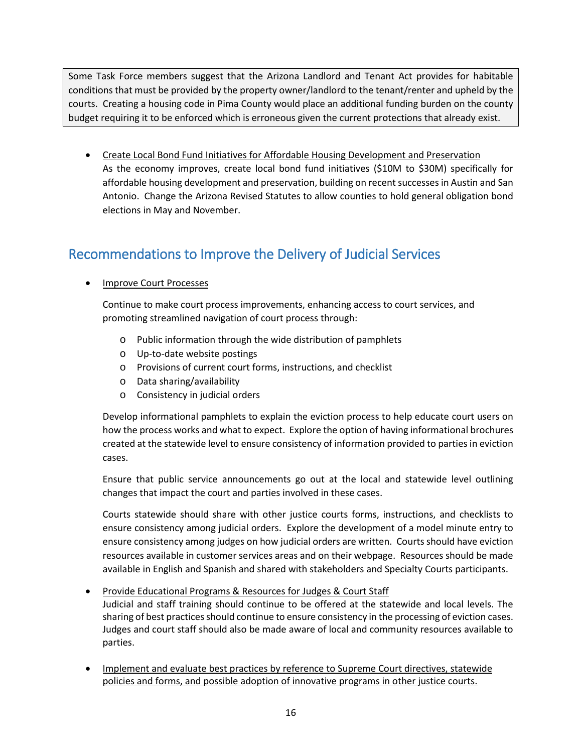Some Task Force members suggest that the Arizona Landlord and Tenant Act provides for habitable conditions that must be provided by the property owner/landlord to the tenant/renter and upheld by the courts. Creating a housing code in Pima County would place an additional funding burden on the county budget requiring it to be enforced which is erroneous given the current protections that already exist.

• Create Local Bond Fund Initiatives for Affordable Housing Development and Preservation As the economy improves, create local bond fund initiatives (\$10M to \$30M) specifically for affordable housing development and preservation, building on recent successes in Austin and San Antonio. Change the Arizona Revised Statutes to allow counties to hold general obligation bond elections in May and November.

## <span id="page-23-0"></span>Recommendations to Improve the Delivery of Judicial Services

#### • Improve Court Processes

Continue to make court process improvements, enhancing access to court services, and promoting streamlined navigation of court process through:

- o Public information through the wide distribution of pamphlets
- o Up-to-date website postings
- o Provisions of current court forms, instructions, and checklist
- o Data sharing/availability
- o Consistency in judicial orders

Develop informational pamphlets to explain the eviction process to help educate court users on how the process works and what to expect. Explore the option of having informational brochures created at the statewide level to ensure consistency of information provided to parties in eviction cases.

Ensure that public service announcements go out at the local and statewide level outlining changes that impact the court and parties involved in these cases.

Courts statewide should share with other justice courts forms, instructions, and checklists to ensure consistency among judicial orders. Explore the development of a model minute entry to ensure consistency among judges on how judicial orders are written. Courts should have eviction resources available in customer services areas and on their webpage. Resources should be made available in English and Spanish and shared with stakeholders and Specialty Courts participants.

#### • Provide Educational Programs & Resources for Judges & Court Staff Judicial and staff training should continue to be offered at the statewide and local levels. The sharing of best practices should continue to ensure consistency in the processing of eviction cases. Judges and court staff should also be made aware of local and community resources available to parties.

• Implement and evaluate best practices by reference to Supreme Court directives, statewide policies and forms, and possible adoption of innovative programs in other justice courts.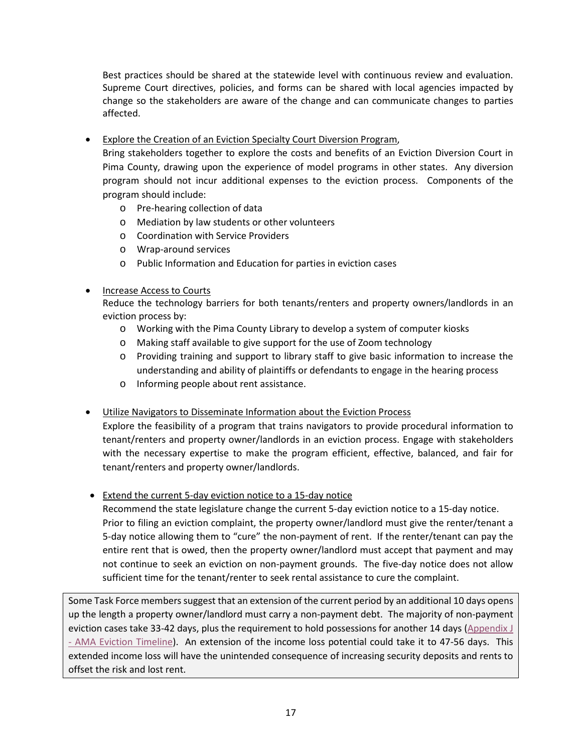Best practices should be shared at the statewide level with continuous review and evaluation. Supreme Court directives, policies, and forms can be shared with local agencies impacted by change so the stakeholders are aware of the change and can communicate changes to parties affected.

• Explore the Creation of an Eviction Specialty Court Diversion Program,

Bring stakeholders together to explore the costs and benefits of an Eviction Diversion Court in Pima County, drawing upon the experience of model programs in other states. Any diversion program should not incur additional expenses to the eviction process. Components of the program should include:

- o Pre-hearing collection of data
- o Mediation by law students or other volunteers
- o Coordination with Service Providers
- o Wrap-around services
- o Public Information and Education for parties in eviction cases

#### • Increase Access to Courts

Reduce the technology barriers for both tenants/renters and property owners/landlords in an eviction process by:

- o Working with the Pima County Library to develop a system of computer kiosks
- o Making staff available to give support for the use of Zoom technology
- o Providing training and support to library staff to give basic information to increase the understanding and ability of plaintiffs or defendants to engage in the hearing process
- o Informing people about rent assistance.
- Utilize Navigators to Disseminate Information about the Eviction Process

Explore the feasibility of a program that trains navigators to provide procedural information to tenant/renters and property owner/landlords in an eviction process. Engage with stakeholders with the necessary expertise to make the program efficient, effective, balanced, and fair for tenant/renters and property owner/landlords.

• Extend the current 5-day eviction notice to a 15-day notice

Recommend the state legislature change the current 5-day eviction notice to a 15-day notice. Prior to filing an eviction complaint, the property owner/landlord must give the renter/tenant a 5-day notice allowing them to "cure" the non-payment of rent. If the renter/tenant can pay the entire rent that is owed, then the property owner/landlord must accept that payment and may not continue to seek an eviction on non-payment grounds. The five-day notice does not allow sufficient time for the tenant/renter to seek rental assistance to cure the complaint.

Some Task Force members suggest that an extension of the current period by an additional 10 days opens up the length a property owner/landlord must carry a non-payment debt. The majority of non-payment eviction cases take 33-42 days, plus the requirement to hold possessions for another 14 days [\(Appendix J](https://webcms.pima.gov/UserFiles/Servers/Server_6/File/Government/CSET/CSET%20newsroom/2020/Eviction%20Task%20Force/Evictions%20Timeline.pdf)  - [AMA Eviction Timeline\)](https://webcms.pima.gov/UserFiles/Servers/Server_6/File/Government/CSET/CSET%20newsroom/2020/Eviction%20Task%20Force/Evictions%20Timeline.pdf). An extension of the income loss potential could take it to 47-56 days. This extended income loss will have the unintended consequence of increasing security deposits and rents to offset the risk and lost rent.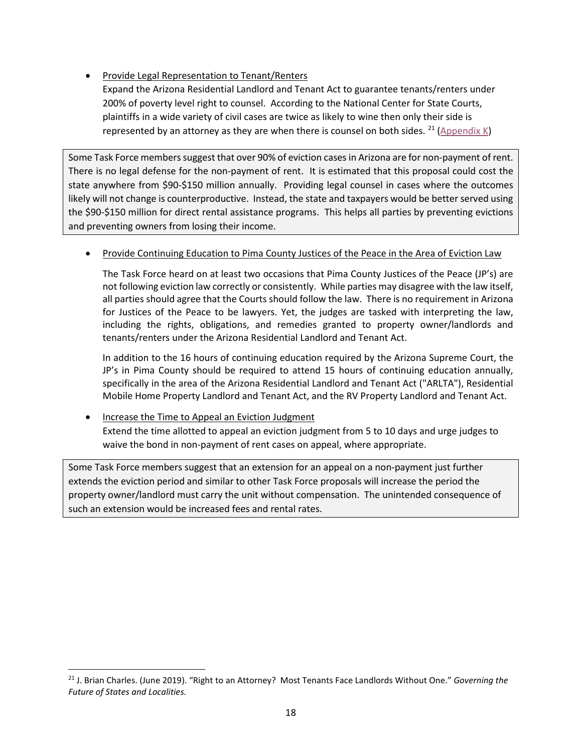• Provide Legal Representation to Tenant/Renters

Expand the Arizona Residential Landlord and Tenant Act to guarantee tenants/renters under 200% of poverty level right to counsel. According to the National Center for State Courts, plaintiffs in a wide variety of civil cases are twice as likely to wine then only their side is represented by an attorney as they are when there is counsel on both sides. <sup>[21](#page-25-0)</sup> [\(Appendix K\)](https://www.governing.com/topics/public-justice-safety/gov-right-to-attorney-legal-defense.html)

Some Task Force members suggest that over 90% of eviction cases in Arizona are for non-payment of rent. There is no legal defense for the non-payment of rent. It is estimated that this proposal could cost the state anywhere from \$90-\$150 million annually. Providing legal counsel in cases where the outcomes likely will not change is counterproductive. Instead, the state and taxpayers would be better served using the \$90-\$150 million for direct rental assistance programs. This helps all parties by preventing evictions and preventing owners from losing their income.

#### • Provide Continuing Education to Pima County Justices of the Peace in the Area of Eviction Law

The Task Force heard on at least two occasions that Pima County Justices of the Peace (JP's) are not following eviction law correctly or consistently. While parties may disagree with the law itself, all parties should agree that the Courts should follow the law. There is no requirement in Arizona for Justices of the Peace to be lawyers. Yet, the judges are tasked with interpreting the law, including the rights, obligations, and remedies granted to property owner/landlords and tenants/renters under the Arizona Residential Landlord and Tenant Act.

In addition to the 16 hours of continuing education required by the Arizona Supreme Court, the JP's in Pima County should be required to attend 15 hours of continuing education annually, specifically in the area of the Arizona Residential Landlord and Tenant Act ("ARLTA"), Residential Mobile Home Property Landlord and Tenant Act, and the RV Property Landlord and Tenant Act.

• Increase the Time to Appeal an Eviction Judgment Extend the time allotted to appeal an eviction judgment from 5 to 10 days and urge judges to waive the bond in non-payment of rent cases on appeal, where appropriate.

Some Task Force members suggest that an extension for an appeal on a non-payment just further extends the eviction period and similar to other Task Force proposals will increase the period the property owner/landlord must carry the unit without compensation. The unintended consequence of such an extension would be increased fees and rental rates.

<span id="page-25-0"></span> <sup>21</sup> J. Brian Charles. (June 2019). "Right to an Attorney? Most Tenants Face Landlords Without One." *Governing the Future of States and Localities.*